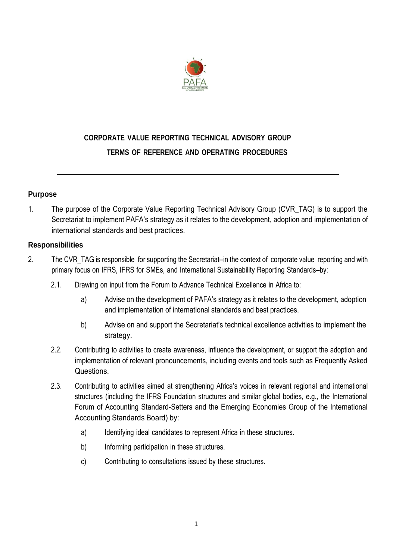

# **CORPORATE VALUE REPORTING TECHNICAL ADVISORY GROUP TERMS OF REFERENCE AND OPERATING PROCEDURES**

# **Purpose**

1. The purpose of the Corporate Value Reporting Technical Advisory Group (CVR\_TAG) is to support the Secretariat to implement PAFA's strategy as it relates to the development, adoption and implementation of international standards and best practices.

# **Responsibilities**

- 2. The CVR TAG is responsible for supporting the Secretariat—in the context of corporate value reporting and with primary focus on IFRS, IFRS for SMEs, and International Sustainability Reporting Standards—by:
	- 2.1. Drawing on input from the Forum to Advance Technical Excellence in Africa to:
		- a) Advise on the development of PAFA's strategy as it relates to the development, adoption and implementation of international standards and best practices.
		- b) Advise on and support the Secretariat's technical excellence activities to implement the strategy.
	- 2.2. Contributing to activities to create awareness, influence the development, or support the adoption and implementation of relevant pronouncements, including events and tools such as Frequently Asked Questions.
	- 2.3. Contributing to activities aimed at strengthening Africa's voices in relevant regional and international structures (including the IFRS Foundation structures and similar global bodies, e.g., the International Forum of Accounting Standard-Setters and the Emerging Economies Group of the International Accounting Standards Board) by:
		- a) Identifying ideal candidates to represent Africa in these structures.
		- b) Informing participation in these structures.
		- c) Contributing to consultations issued by these structures.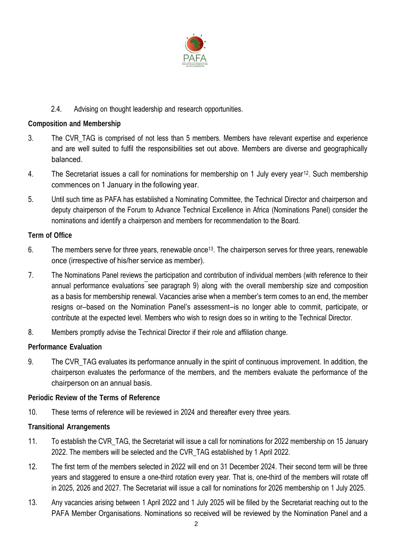

# 2.4. Advising on thought leadership and research opportunities.

# **Composition and Membership**

- 3. The CVR\_TAG is comprised of not less than 5 members. Members have relevant expertise and experience and are well suited to fulfil the responsibilities set out above. Members are diverse and geographically balanced.
- 4. The Secretariat issues a call for nominations for membership on 1 July every year<sup>12</sup>. Such membership commences on 1 January in the following year.
- 5. Until such time as PAFA has established a Nominating Committee, the Technical Director and chairperson and deputy chairperson of the Forum to Advance Technical Excellence in Africa (Nominations Panel) consider the nominations and identify a chairperson and members for recommendation to the Board.

#### **Term of Office**

- 6. The members serve for three years, renewable once<sup>13</sup>. The chairperson serves for three years, renewable once (irrespective of his/her service as member).
- 7. The Nominations Panel reviews the participation and contribution of individual members (with reference to their annual performance evaluations see paragraph 9) along with the overall membership size and composition as a basis for membership renewal. Vacancies arise when a member's term comes to an end, the member resigns or—based on the Nomination Panel's assessment—is no longer able to commit, participate, or contribute at the expected level. Members who wish to resign does so in writing to the Technical Director.
- 8. Members promptly advise the Technical Director if their role and affiliation change.

#### **Performance Evaluation**

9. The CVR TAG evaluates its performance annually in the spirit of continuous improvement. In addition, the chairperson evaluates the performance of the members, and the members evaluate the performance of the chairperson on an annual basis.

#### **Periodic Review of the Terms of Reference**

10. These terms of reference will be reviewed in 2024 and thereafter every three years.

#### **Transitional Arrangements**

- 11. To establish the CVR\_TAG, the Secretariat will issue a call for nominations for 2022 membership on 15 January 2022. The members will be selected and the CVR\_TAG established by 1 April 2022.
- 12. The first term of the members selected in 2022 will end on 31 December 2024. Their second term will be three years and staggered to ensure a one-third rotation every year. That is, one-third of the members will rotate off in 2025, 2026 and 2027. The Secretariat will issue a call for nominations for 2026 membership on 1 July 2025.
- 13. Any vacancies arising between 1 April 2022 and 1 July 2025 will be filled by the Secretariat reaching out to the PAFA Member Organisations. Nominations so received will be reviewed by the Nomination Panel and a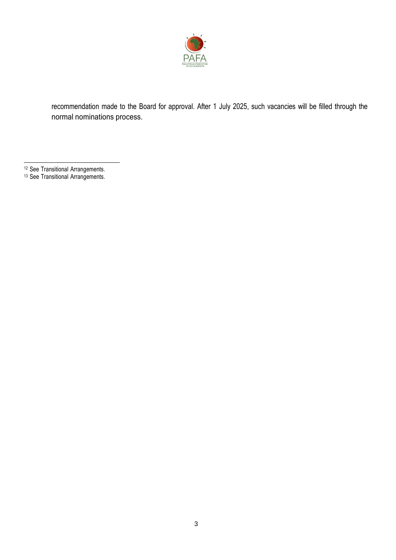

recommendation made to the Board for approval. After 1 July 2025, such vacancies will be filled through the normal nominations process.

- <sup>12</sup> See Transitional Arrangements.
- <sup>13</sup> See Transitional Arrangements.